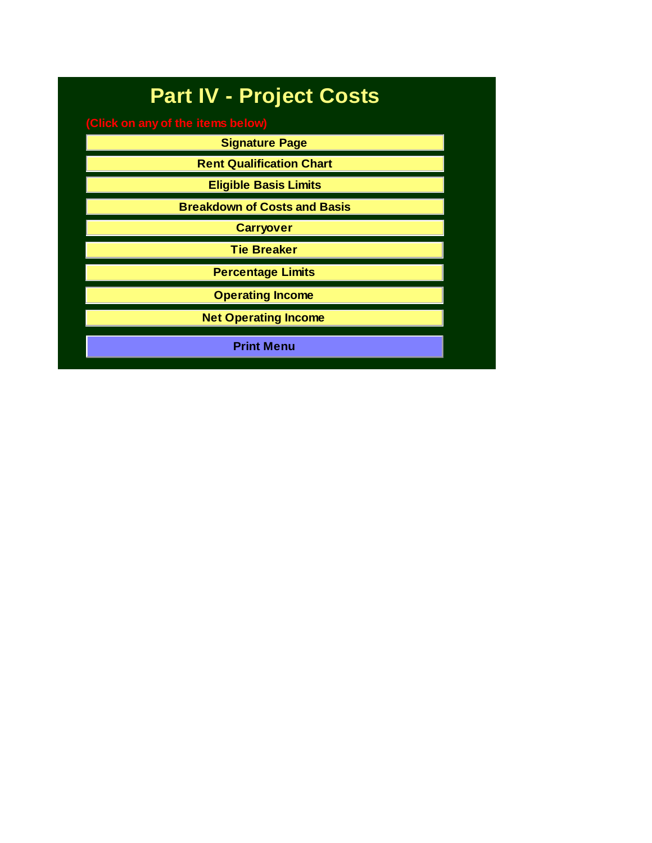| <b>Part IV - Project Costs</b>      |  |  |  |  |
|-------------------------------------|--|--|--|--|
| (Click on any of the items below)   |  |  |  |  |
| <b>Signature Page</b>               |  |  |  |  |
| <b>Rent Qualification Chart</b>     |  |  |  |  |
| <b>Eligible Basis Limits</b>        |  |  |  |  |
| <b>Breakdown of Costs and Basis</b> |  |  |  |  |
| <b>Carryover</b>                    |  |  |  |  |
| <b>Tie Breaker</b>                  |  |  |  |  |
| <b>Percentage Limits</b>            |  |  |  |  |
| <b>Operating Income</b>             |  |  |  |  |
| <b>Net Operating Income</b>         |  |  |  |  |
| <b>Print Menu</b>                   |  |  |  |  |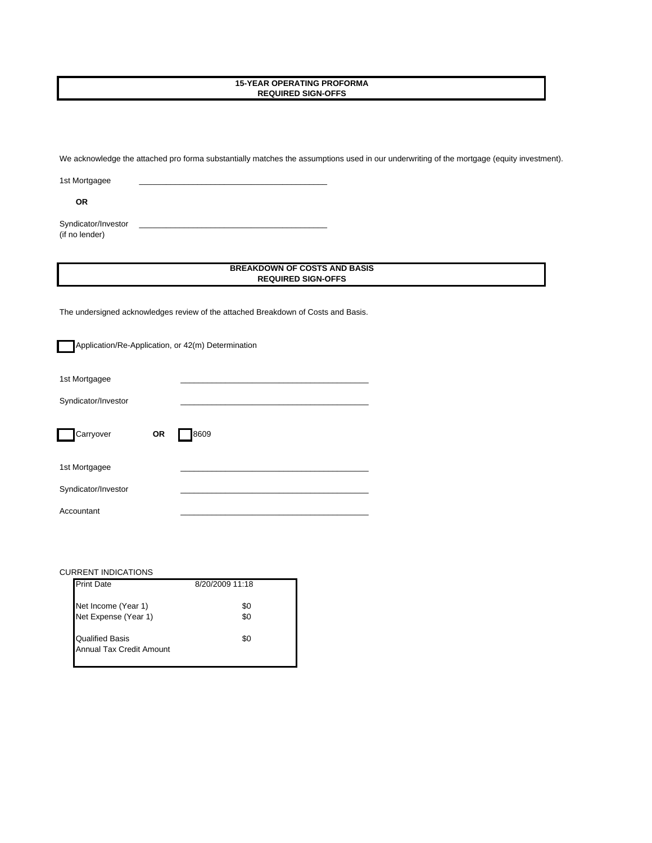### **15-YEAR OPERATING PROFORMA REQUIRED SIGN-OFFS**

|                                                    | We acknowledge the attached pro forma substantially matches the assumptions used in our underwriting of the mortgage (equity investment). |
|----------------------------------------------------|-------------------------------------------------------------------------------------------------------------------------------------------|
| 1st Mortgagee                                      | the control of the control of the control of the control of the control of the control of                                                 |
| <b>OR</b>                                          |                                                                                                                                           |
| Syndicator/Investor<br>(if no lender)              | <u> 1999 - Johann Harry Harry Harry Harry Harry Harry Harry Harry Harry Harry Harry Harry Harry Harry Harry Harry</u>                     |
|                                                    | <b>BREAKDOWN OF COSTS AND BASIS</b><br><b>REQUIRED SIGN-OFFS</b>                                                                          |
|                                                    |                                                                                                                                           |
|                                                    | The undersigned acknowledges review of the attached Breakdown of Costs and Basis.                                                         |
| Application/Re-Application, or 42(m) Determination |                                                                                                                                           |
| 1st Mortgagee                                      |                                                                                                                                           |
| Syndicator/Investor                                |                                                                                                                                           |
| Carryover<br><b>OR</b>                             | 8609                                                                                                                                      |
| 1st Mortgagee                                      |                                                                                                                                           |
| Syndicator/Investor                                |                                                                                                                                           |
| Accountant                                         |                                                                                                                                           |

| CURRENT INDICATIONS                                       |                 |
|-----------------------------------------------------------|-----------------|
| <b>Print Date</b>                                         | 8/20/2009 11:18 |
| Net Income (Year 1)<br>Net Expense (Year 1)               | \$0             |
|                                                           | \$0             |
| <b>Qualified Basis</b><br><b>Annual Tax Credit Amount</b> | \$0             |
|                                                           |                 |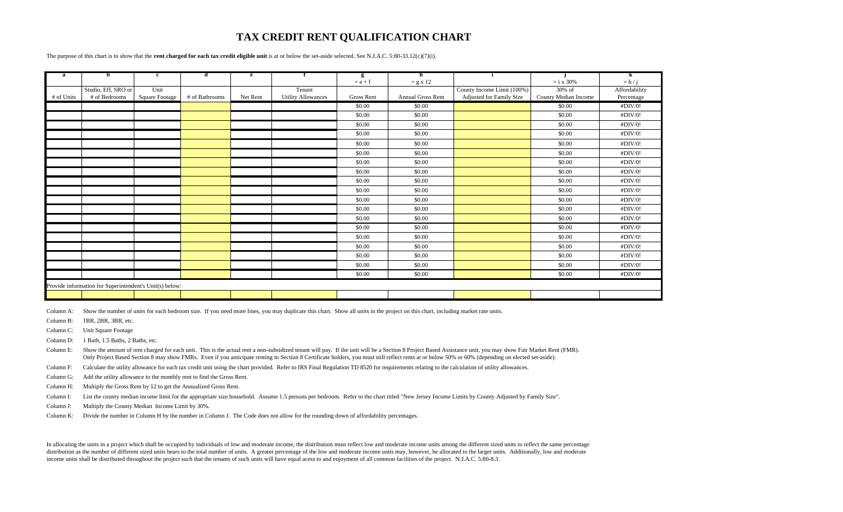## **TAX CREDIT RENT QUALIFICATION CHART**

The purpose of this chart is to show that the **rent charged for each tax credit eligible unit** is at or below the set-aside selected. See N.J.A.C. 5:80-33.12(c)(7)(i).

| а          | b                                                       | c                     | α              | e        |                           | g                 | 'n                       | -1                         |                      |               |
|------------|---------------------------------------------------------|-----------------------|----------------|----------|---------------------------|-------------------|--------------------------|----------------------------|----------------------|---------------|
|            |                                                         |                       |                |          |                           | $= e + f$         | $= g \times 12$          |                            | $=$ i x 30%          | $= h / i$     |
|            | Studio, Eff, SRO or                                     | Unit                  |                |          | Tenant                    |                   |                          | County Income Limit (100%) | 30% of               | Affordability |
| # of Units | # of Bedrooms                                           | <b>Square Footage</b> | # of Bathrooms | Net Rent | <b>Utility Allowances</b> | <b>Gross Rent</b> | <b>Annual Gross Rent</b> | Adjusted for Family Size   | County Median Income | Percentage    |
|            |                                                         |                       |                |          |                           | \$0.00            | \$0.00                   |                            | \$0.00               | #DIV/0!       |
|            |                                                         |                       |                |          |                           | \$0.00            | \$0.00                   |                            | \$0.00               | #DIV/0!       |
|            |                                                         |                       |                |          |                           | \$0.00            | \$0.00                   |                            | \$0.00               | #DIV/0!       |
|            |                                                         |                       |                |          |                           | \$0.00            | \$0.00                   |                            | \$0.00               | #DIV/0!       |
|            |                                                         |                       |                |          |                           | \$0.00            | \$0.00                   |                            | \$0.00               | #DIV/0!       |
|            |                                                         |                       |                |          |                           | \$0.00            | \$0.00                   |                            | \$0.00               | #DIV/0!       |
|            |                                                         |                       |                |          |                           | \$0.00            | \$0.00                   |                            | \$0.00               | #DIV/0!       |
|            |                                                         |                       |                |          |                           | \$0.00            | \$0.00                   |                            | \$0.00               | #DIV/0!       |
|            |                                                         |                       |                |          |                           | \$0.00            | \$0.00                   |                            | \$0.00               | #DIV/0!       |
|            |                                                         |                       |                |          |                           | \$0.00            | \$0.00                   |                            | \$0.00               | #DIV/0!       |
|            |                                                         |                       |                |          |                           | \$0.00            | \$0.00                   |                            | \$0.00               | #DIV/0!       |
|            |                                                         |                       |                |          |                           | \$0.00            | \$0.00                   |                            | \$0.00               | #DIV/0!       |
|            |                                                         |                       |                |          |                           | \$0.00            | \$0.00                   |                            | \$0.00               | #DIV/0!       |
|            |                                                         |                       |                |          |                           | \$0.00            | \$0.00                   |                            | \$0.00               | #DIV/0!       |
|            |                                                         |                       |                |          |                           | \$0.00            | \$0.00                   |                            | \$0.00               | #DIV/0!       |
|            |                                                         |                       |                |          |                           | \$0.00            | \$0.00                   |                            | \$0.00               | #DIV/0!       |
|            |                                                         |                       |                |          |                           | \$0.00            | \$0.00                   |                            | \$0.00               | #DIV/0!       |
|            |                                                         |                       |                |          |                           | \$0.00            | \$0.00                   |                            | \$0.00               | #DIV/0!       |
|            |                                                         |                       |                |          |                           | \$0.00            | \$0.00                   |                            | \$0.00               | #DIV/0!       |
|            | Provide information for Superintendent's Unit(s) below: |                       |                |          |                           |                   |                          |                            |                      |               |
|            |                                                         |                       |                |          |                           |                   |                          |                            |                      |               |

Column A: Show the number of units for each bedroom size. If you need more lines, you may duplicate this chart. Show all units in the project on this chart, including market rate units.

Column B: 1BR, 2BR, 3BR, etc.

Column C: Unit Square Footage

Column D: 1 Bath, 1.5 Baths, 2 Baths, etc.

Column E: Show the amount of rent charged for each unit. This is the actual rent a non-subsidized tenant will pay. If the unit will be a Section 8 Project Based Assistance unit, you may show Fair Market Rent (FMR). Only Project Based Section 8 may show FMRs. Even if you anticipate renting to Section 8 Certificate holders, you must still reflect rents at or below 50% or 60% (depending on elected set-aside).

Column F: Calculate the utility allowance for each tax credit unit using the chart provided. Refer to IRS Final Regulation TD 8520 for requirements relating to the calculation of utility allowances.

Column G: Add the utility allowance to the monthly rent to find the Gross Rent.

Column H: Multiply the Gross Rent by 12 to get the Annualized Gross Rent.

Column I: List the county median income limit for the appropriate size household. Assume 1.5 persons per bedroom. Refer to the chart titled "New Jersey Income Limits by County Adjusted by Family Size".

Column J: Multiply the County Median Income Limit by 30%.

Column K: Divide the number in Column H by the number in Column J. The Code does not allow for the rounding down of affordability percentages.

In allocating the units in a project which shall be occupied by individuals of low and moderate income, the distribution must reflect low and moderate income units among the different sized units to reflect the same percen distribution as the number of different sized units bears to the total number of units. A greater percentage of the low and moderate income units may, however, be allocated to the larger units. Additionally, low and modera income units shall be distributed throughout the project such that the tenants of such units will have equal acess to and enjoyment of all common facilities of the project. N.J.A.C. 5:80-8.3.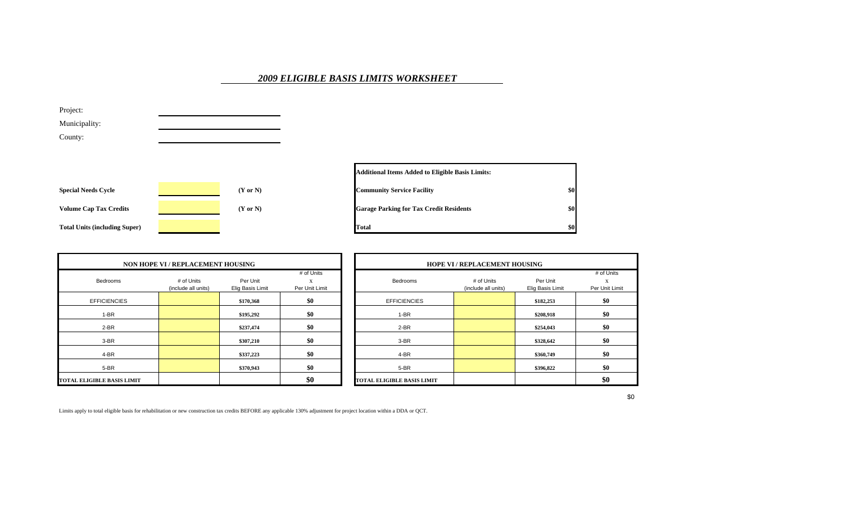## *2009 ELIGIBLE BASIS LIMITS WORKSHEET*

| Project:                             |                     |                                                         |     |
|--------------------------------------|---------------------|---------------------------------------------------------|-----|
| Municipality:                        |                     |                                                         |     |
| County:                              |                     |                                                         |     |
|                                      |                     |                                                         |     |
|                                      |                     | <b>Additional Items Added to Eligible Basis Limits:</b> |     |
| <b>Special Needs Cycle</b>           | $(Y \text{ or } N)$ | <b>Community Service Facility</b>                       | \$0 |
| <b>Volume Cap Tax Credits</b>        | $(Y \text{ or } N)$ | <b>Garage Parking for Tax Credit Residents</b>          | \$0 |
| <b>Total Units (including Super)</b> |                     | Total                                                   | \$0 |

| NON HOPE VI / REPLACEMENT HOUSING |                                   |                              |                                   |  |                                   | <b>HOPE VI / REPLACEMENT HOUSING</b> |                              |                                   |
|-----------------------------------|-----------------------------------|------------------------------|-----------------------------------|--|-----------------------------------|--------------------------------------|------------------------------|-----------------------------------|
| Bedrooms                          | # of Units<br>(include all units) | Per Unit<br>Elig Basis Limit | # of Units<br>X<br>Per Unit Limit |  | Bedrooms                          | # of Units<br>(include all units)    | Per Unit<br>Elig Basis Limit | # of Units<br>X<br>Per Unit Limit |
| <b>EFFICIENCIES</b>               |                                   | \$170,368                    | \$0                               |  | <b>EFFICIENCIES</b>               |                                      | \$182,253                    | \$0                               |
| $1-BR$                            |                                   | \$195,292                    | \$0                               |  | $1-BR$                            |                                      | \$208,918                    | \$0                               |
| $2-BR$                            |                                   | \$237,474                    | \$0                               |  | $2-BR$                            |                                      | \$254,043                    | \$0                               |
| 3-BR                              |                                   | \$307,210                    | \$0                               |  | 3-BR                              |                                      | \$328,642                    | \$0                               |
| $4-BR$                            |                                   | \$337,223                    | \$0                               |  | $4-BR$                            |                                      | \$360,749                    | \$0                               |
| 5-BR                              |                                   | \$370,943                    | \$0                               |  | 5-BR                              |                                      | \$396,822                    | \$0                               |
| <b>TOTAL ELIGIBLE BASIS LIMIT</b> |                                   |                              | \$0                               |  | <b>TOTAL ELIGIBLE BASIS LIMIT</b> |                                      |                              | \$0                               |

\$0

Limits apply to total eligible basis for rehabilitation or new construction tax credits BEFORE any applicable 130% adjustment for project location within a DDA or QCT.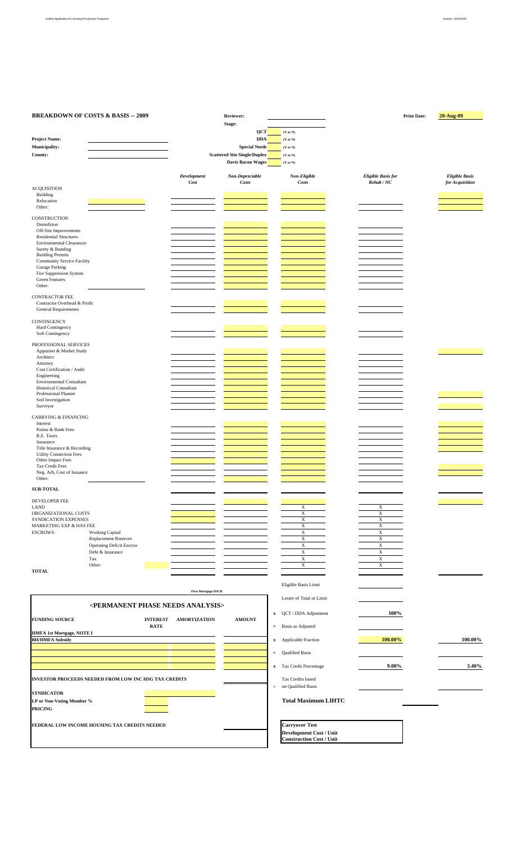Unified Application for Housing Production Programs revised - 8/20/2009

|                                                                 |                                                       |                 |                            | QCT                                                         |             | $(\mathbf Y$ or $\mathbf N)$                                      |                                         |                                          |
|-----------------------------------------------------------------|-------------------------------------------------------|-----------------|----------------------------|-------------------------------------------------------------|-------------|-------------------------------------------------------------------|-----------------------------------------|------------------------------------------|
| <b>Project Name:</b>                                            |                                                       |                 |                            | <b>DDA</b>                                                  |             | $(\mathbf Y$ or $\mathbf N)$                                      |                                         |                                          |
| Municipality:<br>County:                                        |                                                       |                 |                            | <b>Special Needs</b><br><b>Scattered Site Single/Duplex</b> |             | $(\mathbf Y$ or $\mathbf N)$<br>(Y or N)                          |                                         |                                          |
|                                                                 |                                                       |                 |                            | <b>Davis Bacon Wages</b>                                    |             | $(Y$ or $N)$                                                      |                                         |                                          |
|                                                                 |                                                       |                 |                            |                                                             |             |                                                                   |                                         |                                          |
|                                                                 |                                                       |                 | Development<br>Cost        | Non-Depreciable<br>Costs                                    |             | Non-Eligible<br><b>Costs</b>                                      | <b>Eligible Basis for</b><br>Rehab / NC | <b>Eligible Basis</b><br>for Acquisition |
| <b>ACQUISITION</b>                                              |                                                       |                 |                            |                                                             |             |                                                                   |                                         |                                          |
| Building<br>Relocation                                          |                                                       |                 |                            |                                                             |             |                                                                   |                                         |                                          |
| Other:                                                          |                                                       |                 |                            |                                                             |             |                                                                   |                                         |                                          |
| CONSTRUCTION                                                    |                                                       |                 |                            |                                                             |             |                                                                   |                                         |                                          |
| Demolition<br>Off-Site Improvements                             |                                                       |                 |                            |                                                             |             |                                                                   |                                         |                                          |
| <b>Residential Structures</b>                                   |                                                       |                 |                            |                                                             |             |                                                                   |                                         |                                          |
| <b>Environmental Clearances</b><br>Surety & Bonding             |                                                       |                 |                            |                                                             |             |                                                                   |                                         |                                          |
| <b>Building Permits</b>                                         |                                                       |                 |                            |                                                             |             |                                                                   |                                         |                                          |
| Community Service Facility<br>Garage Parking                    |                                                       |                 |                            |                                                             |             |                                                                   |                                         |                                          |
| Fire Suppression System                                         |                                                       |                 |                            |                                                             |             |                                                                   |                                         |                                          |
| <b>Green Features</b><br>Other:                                 |                                                       |                 |                            |                                                             |             |                                                                   |                                         |                                          |
|                                                                 |                                                       |                 |                            |                                                             |             |                                                                   |                                         |                                          |
| <b>CONTRACTOR FEE</b><br>Contractor Overhead & Profit           |                                                       |                 |                            |                                                             |             |                                                                   |                                         |                                          |
| General Requirements                                            |                                                       |                 |                            |                                                             |             |                                                                   |                                         |                                          |
| CONTINGENCY                                                     |                                                       |                 |                            |                                                             |             |                                                                   |                                         |                                          |
| Hard Contingency                                                |                                                       |                 |                            |                                                             |             |                                                                   |                                         |                                          |
| Soft Contingency                                                |                                                       |                 |                            |                                                             |             |                                                                   |                                         |                                          |
| PROFESSIONAL SERVICES<br>Appraiser & Market Study               |                                                       |                 |                            |                                                             |             |                                                                   |                                         |                                          |
| Architect                                                       |                                                       |                 |                            |                                                             |             |                                                                   |                                         |                                          |
| Attorney<br>Cost Certification / Audit                          |                                                       |                 |                            |                                                             |             |                                                                   |                                         |                                          |
| Engineering                                                     |                                                       |                 |                            |                                                             |             |                                                                   |                                         |                                          |
| <b>Environmental Consultant</b><br><b>Historical Consultant</b> |                                                       |                 |                            |                                                             |             |                                                                   |                                         |                                          |
| Professional Planner                                            |                                                       |                 |                            |                                                             |             |                                                                   |                                         |                                          |
| Soil Investigation<br>Surveyor                                  |                                                       |                 |                            |                                                             |             |                                                                   |                                         |                                          |
| <b>CARRYING &amp; FINANCING</b>                                 |                                                       |                 |                            |                                                             |             |                                                                   |                                         |                                          |
| Interest                                                        |                                                       |                 |                            |                                                             |             |                                                                   |                                         |                                          |
| Points & Bank Fees<br>R.E. Taxes                                |                                                       |                 |                            |                                                             |             |                                                                   |                                         |                                          |
| Insurance                                                       |                                                       |                 |                            |                                                             |             |                                                                   |                                         |                                          |
| Title Insurance & Recording<br><b>Utility Connection Fees</b>   |                                                       |                 |                            |                                                             |             |                                                                   |                                         |                                          |
| Other Impact Fees                                               |                                                       |                 |                            |                                                             |             |                                                                   |                                         |                                          |
| Tax Credit Fees<br>Neg. Arb, Cost of Issuance                   |                                                       |                 |                            |                                                             |             |                                                                   |                                         |                                          |
| Other:                                                          |                                                       |                 |                            |                                                             |             |                                                                   |                                         |                                          |
| <b>SUB-TOTAL</b>                                                |                                                       |                 |                            |                                                             |             |                                                                   |                                         |                                          |
| <b>DEVELOPER FEE</b>                                            |                                                       |                 |                            |                                                             |             |                                                                   |                                         |                                          |
| ${\rm LAND}$                                                    |                                                       |                 |                            |                                                             |             | $\mathbf X$                                                       | $\mathbf X$                             |                                          |
| ORGANIZATIONAL COSTS<br>SYNDICATION EXPENSES                    |                                                       |                 |                            |                                                             |             | $\mathbf X$<br>$\mathbf X$                                        | X<br>X                                  |                                          |
| MARKETING EXP & HAS FEE                                         |                                                       |                 |                            |                                                             |             | X                                                                 | X                                       |                                          |
| <b>ESCROWS:</b>                                                 | <b>Working Capital</b><br><b>Replacement Reserves</b> |                 |                            |                                                             |             | $\mathbf X$<br>$\mathbf X$                                        | $\mathbf X$<br>$\mathbf X$              |                                          |
|                                                                 | <b>Operating Deficit Escrow</b>                       |                 |                            |                                                             |             | $\mathbf X$                                                       | $\mathbf X$                             |                                          |
|                                                                 | Debt & Insurance<br>Tax                               |                 |                            |                                                             |             | $\mathbf X$<br>$\mathbf X$                                        | $\mathbf X$<br>$\mathbf X$              |                                          |
|                                                                 | Other:                                                |                 |                            |                                                             |             | $\mathbf X$                                                       | X                                       |                                          |
| <b>TOTAL</b>                                                    |                                                       |                 |                            |                                                             |             |                                                                   |                                         |                                          |
|                                                                 |                                                       |                 |                            |                                                             |             | Eligible Basis Limit                                              |                                         |                                          |
|                                                                 |                                                       |                 | <b>First Mortgage DSCR</b> |                                                             |             |                                                                   |                                         |                                          |
|                                                                 | <permanent analysis="" needs="" phase=""></permanent> |                 |                            |                                                             |             | Lesser of Total or Limit                                          |                                         |                                          |
|                                                                 |                                                       |                 |                            |                                                             | $\mathbf x$ | QCT / DDA Adjustment                                              | 100%                                    |                                          |
| <b>FUNDING SOURCE</b>                                           |                                                       | <b>INTEREST</b> | <b>AMORTIZATION</b>        | <b>AMOUNT</b>                                               |             |                                                                   |                                         |                                          |
| <b>HMFA 1st Mortgage, NOTE I</b>                                |                                                       | <b>RATE</b>     |                            |                                                             |             | $=$ Basis as Adjusted                                             |                                         |                                          |
| <b>BH/HMFA Subsidy</b>                                          |                                                       |                 |                            |                                                             |             | x Applicable Fraction                                             | 100.00%                                 | 100.00%                                  |
|                                                                 |                                                       |                 |                            |                                                             | $\equiv$    | <b>Qualified Basis</b>                                            |                                         |                                          |
|                                                                 |                                                       |                 |                            |                                                             |             |                                                                   |                                         |                                          |
|                                                                 |                                                       |                 |                            |                                                             |             | x Tax Credit Percentage                                           | $9.00\%$                                | 3.40%                                    |
| INVESTOR PROCEEDS NEEDED FROM LOW INC HSG TAX CREDITS           |                                                       |                 |                            |                                                             |             | Tax Credits based                                                 |                                         |                                          |
| <b>SYNDICATOR</b>                                               |                                                       |                 |                            |                                                             |             | = on Qualified Basis                                              |                                         |                                          |
| LP or Non-Voting Member %                                       |                                                       |                 |                            |                                                             |             | <b>Total Maximum LIHTC</b>                                        |                                         |                                          |
| <b>PRICING</b>                                                  |                                                       |                 |                            |                                                             |             |                                                                   |                                         |                                          |
|                                                                 |                                                       |                 |                            |                                                             |             |                                                                   |                                         |                                          |
| FEDERAL LOW INCOME HOUSING TAX CREDITS NEEDED                   |                                                       |                 |                            |                                                             |             | <b>Carryover Test</b>                                             |                                         |                                          |
|                                                                 |                                                       |                 |                            |                                                             |             | <b>Development Cost / Unit</b><br><b>Construction Cost / Unit</b> |                                         |                                          |
|                                                                 |                                                       |                 |                            |                                                             |             |                                                                   |                                         |                                          |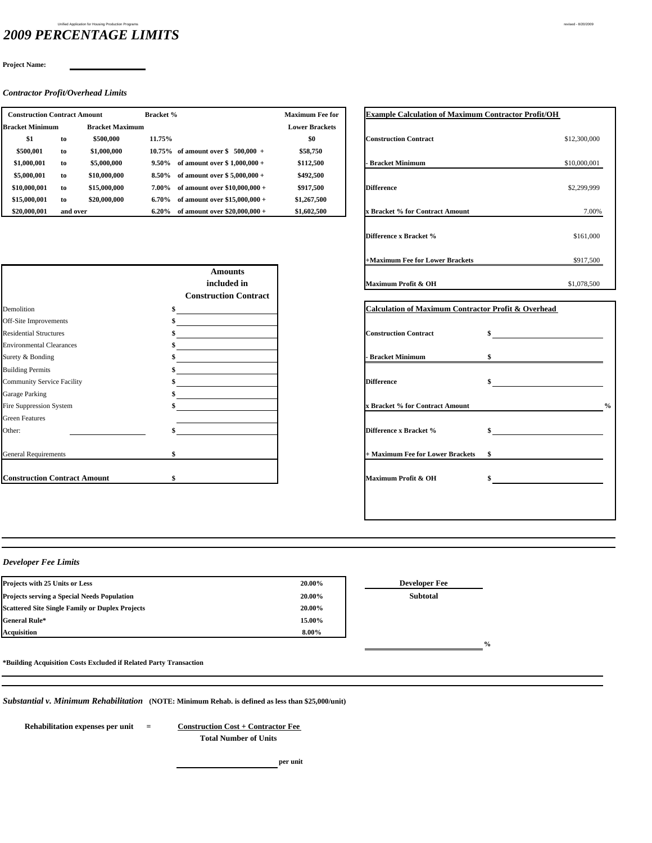#### Unified Application for Housing Production Programs revised - 8/20/2009 *2009 PERCENTAGE LIMITS*

**Project Name:**

### *Contractor Profit/Overhead Limits*

| <b>Construction Contract Amount</b> |          | Bracket %              |        | <b>Maximum Fee for</b>              | <b>Example Calculation of Maximum Contractor Profit/OH</b> |                                 |              |
|-------------------------------------|----------|------------------------|--------|-------------------------------------|------------------------------------------------------------|---------------------------------|--------------|
| <b>Bracket Minimum</b>              |          | <b>Bracket Maximum</b> |        |                                     | <b>Lower Brackets</b>                                      |                                 |              |
| \$1                                 | to       | \$500,000              | 11.75% |                                     | \$0                                                        | <b>Construction Contract</b>    | \$12,300,000 |
| \$500,001                           | to       | \$1,000,000            |        | 10.75% of amount over \$500,000 +   | \$58,750                                                   |                                 |              |
| \$1,000,001                         | to       | \$5,000,000            |        | 9.50% of amount over \$1,000,000 +  | \$112,500                                                  | <b>Bracket Minimum</b>          | \$10,000,001 |
| \$5,000,001                         | to       | \$10,000,000           |        | 8.50% of amount over $$5,000,000 +$ | \$492.500                                                  |                                 |              |
| \$10,000,001                        | to       | \$15,000,000           | 7.00%  | of amount over \$10,000.000 +       | \$917.500                                                  | <b>Difference</b>               | \$2,299,999  |
| \$15,000,001                        | to       | \$20,000,000           | 6.70%  | of amount over $$15,000,000+$       | \$1,267,500                                                |                                 |              |
| \$20,000,001                        | and over |                        | 6.20%  | of amount over $$20,000,000+$       | \$1,602,500                                                | x Bracket % for Contract Amount | 7.00%        |
|                                     |          |                        |        |                                     |                                                            |                                 |              |

|                                     |                              | <b><i>Haamhum I ce for Dower Druckets</i></b>                  | 421,000       |
|-------------------------------------|------------------------------|----------------------------------------------------------------|---------------|
|                                     | <b>Amounts</b>               |                                                                |               |
|                                     | included in                  | Maximum Profit & OH                                            | \$1,078,500   |
|                                     | <b>Construction Contract</b> |                                                                |               |
| Demolition                          |                              | <b>Calculation of Maximum Contractor Profit &amp; Overhead</b> |               |
| Off-Site Improvements               |                              |                                                                |               |
| <b>Residential Structures</b>       |                              | <b>Construction Contract</b>                                   |               |
| <b>Environmental Clearances</b>     |                              |                                                                |               |
| Surety & Bonding                    |                              | <b>Bracket Minimum</b>                                         |               |
| <b>Building Permits</b>             |                              |                                                                |               |
| Community Service Facility          |                              | <b>Difference</b>                                              |               |
| <b>Garage Parking</b>               |                              |                                                                |               |
| Fire Suppression System             |                              | x Bracket % for Contract Amount                                | $\frac{0}{0}$ |
| <b>Green Features</b>               |                              |                                                                |               |
| Other:                              |                              | Difference x Bracket %                                         |               |
| <b>General Requirements</b>         |                              | + Maximum Fee for Lower Brackets<br>- \$                       |               |
| <b>Construction Contract Amount</b> |                              | Maximum Profit & OH                                            |               |

|                               | <b>Maximum Fee for</b> | <b>Example Calculation of Maximum Contractor Profit/OH</b> |              |
|-------------------------------|------------------------|------------------------------------------------------------|--------------|
|                               | <b>Lower Brackets</b>  |                                                            |              |
|                               | \$0                    | <b>Construction Contract</b>                               | \$12,300,000 |
| t over \$500,000 +            | \$58,750               |                                                            |              |
| t over \$ 1,000,000 +         | \$112,500              | - Bracket Minimum                                          | \$10,000,001 |
| t over \$5,000,000 +          | \$492,500              |                                                            |              |
| t over \$10,000,000 +         | \$917,500              | <b>Difference</b>                                          | \$2,299,999  |
| t over \$15,000,000 +         | \$1,267,500            |                                                            |              |
| t over \$20,000,000 +         | \$1,602,500            | x Bracket % for Contract Amount                            | 7.00%        |
|                               |                        | Difference x Bracket %                                     | \$161,000    |
|                               |                        | +Maximum Fee for Lower Brackets                            | \$917,500    |
| <b>Amounts</b><br>included in |                        | Maximum Profit & OH                                        | \$1,078,500  |

| <b>Construction Contract</b>     | \$            |
|----------------------------------|---------------|
| - Bracket Minimum                | \$            |
| <b>Difference</b>                | \$            |
| x Bracket % for Contract Amount  | $\frac{0}{0}$ |
| Difference x Bracket %           | \$            |
| + Maximum Fee for Lower Brackets | \$            |
| <b>Maximum Profit &amp; OH</b>   | \$            |

**%**

### *Developer Fee Limits*

| Projects with 25 Units or Less                         | 20.00% | Developer I |
|--------------------------------------------------------|--------|-------------|
| <b>Projects serving a Special Needs Population</b>     | 20.00% | Subtotal    |
| <b>Scattered Site Single Family or Duplex Projects</b> | 20.00% |             |
| <b>General Rule*</b>                                   | 15.00% |             |
| <b>Acquisition</b>                                     | 8.00%  |             |

**Developer Fee** 

**\*Building Acquisition Costs Excluded if Related Party Transaction**

*Substantial v. Minimum Rehabilitation* **(NOTE: Minimum Rehab. is defined as less than \$25,000/unit)**

**Rehabilitation expenses per unit = Construction Cost + Contractor Fee** 

 **Total Number of Units**

**per unit**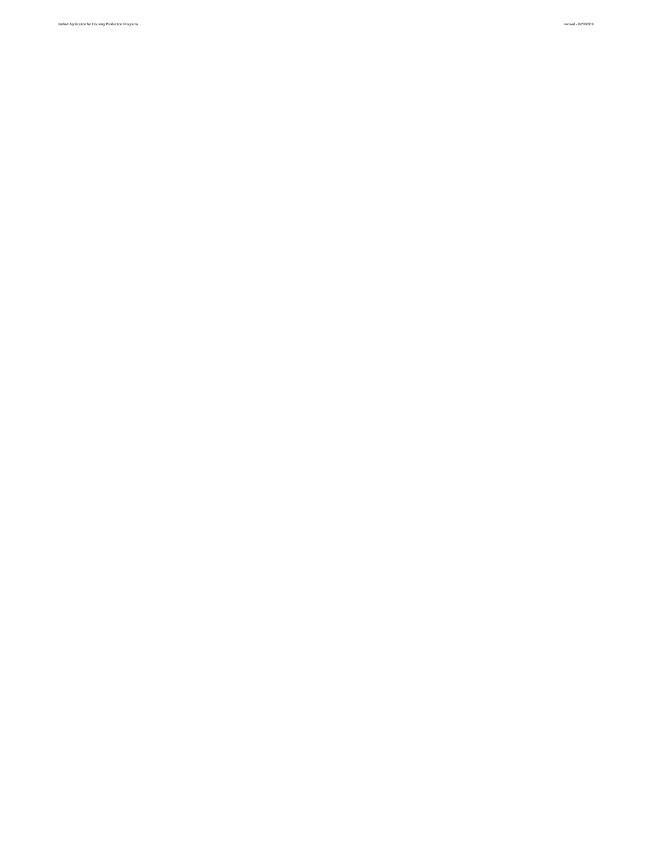Unified Application for Housing Production Programs revised - 8/20/2009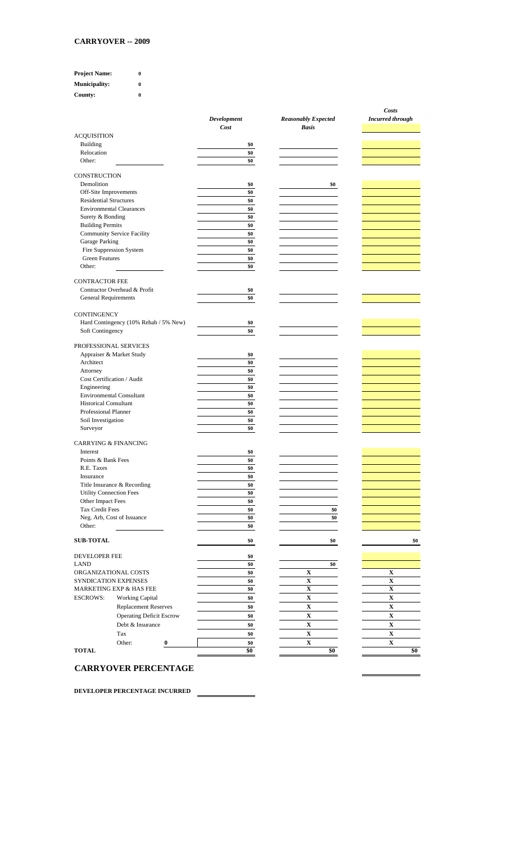## **CARRYOVER -- 2009**

## **Project Name: 0 Municipality: 0 County: 0**

|                                                 |             |                            | Costs                   |
|-------------------------------------------------|-------------|----------------------------|-------------------------|
|                                                 | Development | <b>Reasonably Expected</b> | <b>Incurred through</b> |
|                                                 | Cost        | <b>Basis</b>               |                         |
| <b>ACQUISITION</b>                              |             |                            |                         |
| <b>Building</b>                                 | \$0         |                            |                         |
| Relocation                                      | \$0         |                            |                         |
| Other:                                          | \$0         |                            |                         |
| <b>CONSTRUCTION</b>                             |             |                            |                         |
| Demolition                                      | \$0         | \$0                        |                         |
| Off-Site Improvements                           | \$0         |                            |                         |
| <b>Residential Structures</b>                   | \$0         |                            |                         |
| <b>Environmental Clearances</b>                 | \$0         |                            |                         |
| Surety & Bonding                                | \$0         |                            |                         |
| <b>Building Permits</b>                         | \$0         |                            |                         |
| <b>Community Service Facility</b>               | \$0         |                            |                         |
| Garage Parking                                  | \$0         |                            |                         |
| Fire Suppression System                         | \$0         |                            |                         |
| <b>Green Features</b>                           | \$0         |                            |                         |
| Other:                                          | \$0         |                            |                         |
| <b>CONTRACTOR FEE</b>                           |             |                            |                         |
| Contractor Overhead & Profit                    | \$0         |                            |                         |
| General Requirements                            | \$0         |                            |                         |
|                                                 |             |                            |                         |
| <b>CONTINGENCY</b>                              |             |                            |                         |
| Hard Contingency (10% Rehab / 5% New)           | \$0         |                            |                         |
| Soft Contingency                                | \$0         |                            |                         |
|                                                 |             |                            |                         |
| PROFESSIONAL SERVICES                           |             |                            |                         |
| Appraiser & Market Study                        | \$0         |                            |                         |
| Architect                                       | \$0         |                            |                         |
| Attorney<br>Cost Certification / Audit          | \$0<br>\$0  |                            |                         |
| Engineering                                     | \$0         |                            |                         |
| <b>Environmental Consultant</b>                 | \$0         |                            |                         |
| <b>Historical Consultant</b>                    | \$0         |                            |                         |
| Professional Planner                            | \$0         |                            |                         |
| Soil Investigation                              | \$0         |                            |                         |
| Surveyor                                        | \$0         |                            |                         |
|                                                 |             |                            |                         |
| <b>CARRYING &amp; FINANCING</b>                 |             |                            |                         |
| Interest                                        | \$0         |                            |                         |
| Points & Bank Fees                              | \$0         |                            |                         |
| R.E. Taxes                                      | \$0         |                            |                         |
| Insurance<br>Title Insurance & Recording        | \$0<br>\$0  |                            |                         |
| <b>Utility Connection Fees</b>                  | \$0         |                            |                         |
| Other Impact Fees                               | \$0         |                            |                         |
| Tax Credit Fees                                 | \$0         | \$0                        |                         |
| Neg. Arb, Cost of Issuance                      | \$0         | \$0                        |                         |
| Other:                                          | \$0         |                            |                         |
|                                                 |             |                            |                         |
| <b>SUB-TOTAL</b>                                | \$0         | \$0                        | \$0                     |
|                                                 |             |                            |                         |
| <b>DEVELOPER FEE</b>                            | \$0         |                            |                         |
| <b>LAND</b>                                     | \$0         | \$0                        |                         |
| ORGANIZATIONAL COSTS                            | \$0         | X<br>$\mathbf X$           | X<br>$\mathbf X$        |
| SYNDICATION EXPENSES<br>MARKETING EXP & HAS FEE | \$0<br>\$0  | $\mathbf X$                | X                       |
| <b>ESCROWS:</b><br>Working Capital              | \$0         | $\mathbf X$                | X                       |
| Replacement Reserves                            | \$0         | $\mathbf X$                | $\mathbf X$             |
| <b>Operating Deficit Escrow</b>                 | \$0         | $\mathbf X$                | $\mathbf X$             |
| Debt & Insurance                                |             | $\mathbf X$                | $\mathbf X$             |
| Tax                                             | \$0         | $\mathbf X$                | $\mathbf X$             |
|                                                 | \$0         | $\mathbf X$                | $\mathbf X$             |
| Other:<br>0<br><b>TOTAL</b>                     | \$0<br>\$0  | \$0                        | \$0                     |
|                                                 |             |                            |                         |

 $\overline{a}$ 

 $\overline{\phantom{0}}$ 

## **CARRYOVER PERCENTAGE**

**DEVELOPER PERCENTAGE INCURRED**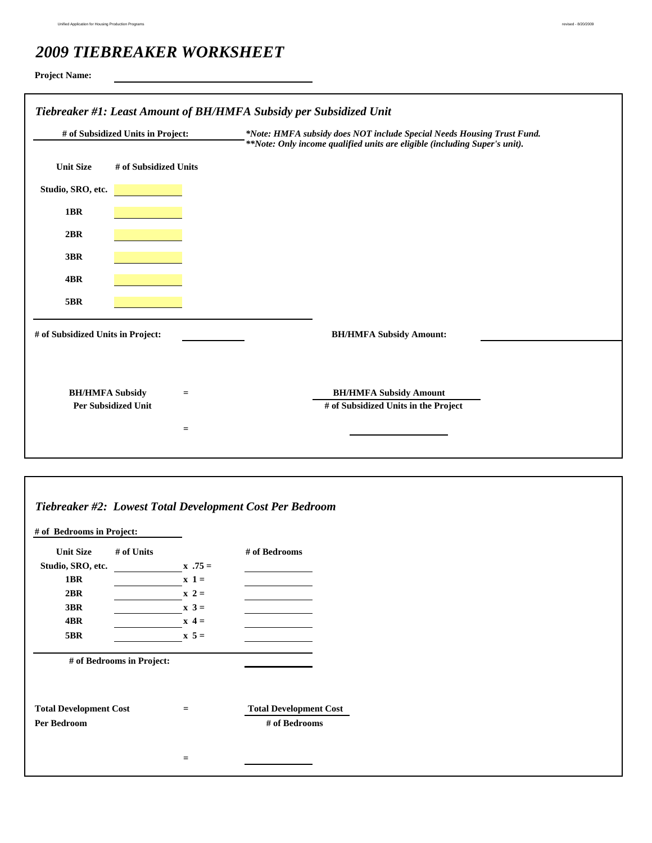$\mathbb{R}^2$ 

# *2009 TIEBREAKER WORKSHEET*

**Project Name:**

|                                   | # of Subsidized Units in Project: | *Note: HMFA subsidy does NOT include Special Needs Housing Trust Fund.<br>**Note: Only income qualified units are eligible (including Super's unit). |  |  |  |  |  |  |  |
|-----------------------------------|-----------------------------------|------------------------------------------------------------------------------------------------------------------------------------------------------|--|--|--|--|--|--|--|
| <b>Unit Size</b>                  | # of Subsidized Units             |                                                                                                                                                      |  |  |  |  |  |  |  |
| Studio, SRO, etc.                 |                                   |                                                                                                                                                      |  |  |  |  |  |  |  |
| 1BR                               |                                   |                                                                                                                                                      |  |  |  |  |  |  |  |
| 2BR                               |                                   |                                                                                                                                                      |  |  |  |  |  |  |  |
| 3BR                               |                                   |                                                                                                                                                      |  |  |  |  |  |  |  |
| 4BR                               |                                   |                                                                                                                                                      |  |  |  |  |  |  |  |
| <b>5BR</b>                        |                                   |                                                                                                                                                      |  |  |  |  |  |  |  |
| # of Subsidized Units in Project: |                                   | <b>BH/HMFA Subsidy Amount:</b>                                                                                                                       |  |  |  |  |  |  |  |
| <b>BH/HMFA Subsidy</b>            | $=$                               | <b>BH/HMFA Subsidy Amount</b>                                                                                                                        |  |  |  |  |  |  |  |
|                                   | <b>Per Subsidized Unit</b><br>$=$ | # of Subsidized Units in the Project                                                                                                                 |  |  |  |  |  |  |  |

 $\mathbf{r}$ 

|                               |                           |                    | Tiebreaker #2: Lowest Total Development Cost Per Bedroom |
|-------------------------------|---------------------------|--------------------|----------------------------------------------------------|
| # of Bedrooms in Project:     |                           |                    |                                                          |
| <b>Unit Size</b>              | # of Units                |                    | # of Bedrooms                                            |
| Studio, SRO, etc.             |                           | $\mathbf{x}$ .75 = |                                                          |
| 1BR                           |                           | $x 1 =$            |                                                          |
| 2BR                           |                           | $x \ 2 =$          |                                                          |
| 3BR                           |                           | $x \ 3 =$          |                                                          |
| 4BR                           |                           | $x = 4$            |                                                          |
| <b>5BR</b>                    |                           | $x = 5$            |                                                          |
|                               | # of Bedrooms in Project: |                    |                                                          |
| <b>Total Development Cost</b> |                           | $=$                | <b>Total Development Cost</b>                            |
| Per Bedroom                   |                           |                    | # of Bedrooms                                            |
|                               |                           | $=$                |                                                          |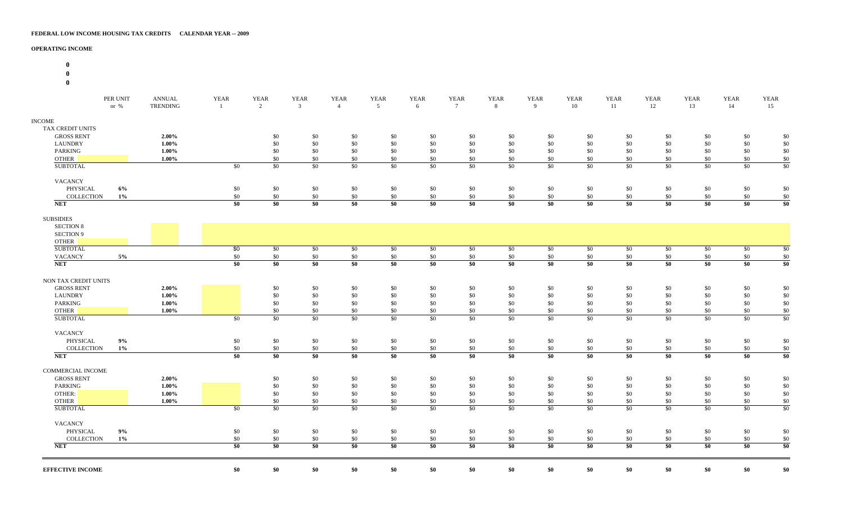#### **FEDERAL LOW INCOME HOUSING TAX CREDITS CALENDAR YEAR -- 2009**

#### **OPERATING INCOME**

**0**

**0**

**0**

|                          | PER UNIT<br>or % | <b>ANNUAL</b><br><b>TRENDING</b> | <b>YEAR</b><br>$\overline{1}$ | <b>YEAR</b><br>2 | <b>YEAR</b><br>$\overline{3}$ | <b>YEAR</b><br>$\overline{4}$ | <b>YEAR</b><br>$5\overline{5}$ | <b>YEAR</b><br>6 | <b>YEAR</b><br>$7\overline{ }$ | <b>YEAR</b><br>8 | <b>YEAR</b><br>$\overline{9}$ | <b>YEAR</b><br>10            | <b>YEAR</b><br>11        | <b>YEAR</b><br>12 | <b>YEAR</b><br>13        | <b>YEAR</b><br>14 | YEAR<br>15  |
|--------------------------|------------------|----------------------------------|-------------------------------|------------------|-------------------------------|-------------------------------|--------------------------------|------------------|--------------------------------|------------------|-------------------------------|------------------------------|--------------------------|-------------------|--------------------------|-------------------|-------------|
| <b>INCOME</b>            |                  |                                  |                               |                  |                               |                               |                                |                  |                                |                  |                               |                              |                          |                   |                          |                   |             |
| TAX CREDIT UNITS         |                  |                                  |                               |                  |                               |                               |                                |                  |                                |                  |                               |                              |                          |                   |                          |                   |             |
| <b>GROSS RENT</b>        |                  | $2.00\%$                         |                               | \$0              | \$0                           | \$0                           | \$0                            | \$0              | \$0                            | \$0              | \$0                           | \$0                          | \$0                      | \$0               | \$0                      | \$0               | \$0         |
| <b>LAUNDRY</b>           |                  | 1.00%                            |                               | \$0              | \$0                           | \$0                           | \$0                            | \$0              | \$0                            | \$0              | \$0                           | \$0                          | \$0                      | \$0               | \$0                      | \$0               | \$0         |
| <b>PARKING</b>           |                  | $1.00\%$                         |                               | \$0              | \$0                           | \$0                           | \$0                            | \$0              | \$0                            | \$0              | \$0                           | \$0                          | \$0                      | \$0               | \$0                      | \$0               | \$0         |
| <b>OTHER</b>             |                  | $1.00\%$                         |                               | \$0              | \$0                           | \$0                           | \$0                            | \$0              | \$0                            | \$0              | \$0                           | \$0                          | \$0                      | \$0               | \$0                      | \$0               | \$0         |
| <b>SUBTOTAL</b>          |                  |                                  | \$0                           | $\sqrt{6}$       | $\overline{50}$               | $\overline{50}$               | \$0                            | \$0              | \$0                            | \$0              | \$0                           | $\overline{50}$              | \$0                      | \$0               | \$0                      | \$0               | \$0         |
| <b>VACANCY</b>           |                  |                                  |                               |                  |                               |                               |                                |                  |                                |                  |                               |                              |                          |                   |                          |                   |             |
| PHYSICAL                 | 6%               |                                  | \$0                           | \$0              | \$0                           | \$0                           | \$0                            | \$0              | \$0                            | \$0              | \$0                           | \$0                          | \$0                      | \$0               | \$0                      | \$0               | \$0         |
| COLLECTION               | $1\%$            |                                  | \$0                           | \$0              | \$0                           | \$0                           | \$0                            | \$0              | \$0                            | \$0              | \$0                           | \$0                          | \$0                      | \$0               | \$0                      | \$0               | \$0         |
| <b>NET</b>               |                  |                                  | \$0                           | $\overline{\$0}$ | $\overline{\$0}$              | $\overline{50}$               | $\overline{\$0}$               | $\overline{50}$  | $\overline{50}$                | $\overline{50}$  | $\overline{50}$               | $\overline{\$0}$             | $\overline{\$0}$         | \$0               | $\overline{\$0}$         | $\overline{50}$   | \$0         |
| <b>SUBSIDIES</b>         |                  |                                  |                               |                  |                               |                               |                                |                  |                                |                  |                               |                              |                          |                   |                          |                   |             |
| <b>SECTION 8</b>         |                  |                                  |                               |                  |                               |                               |                                |                  |                                |                  |                               |                              |                          |                   |                          |                   |             |
| <b>SECTION 9</b>         |                  |                                  |                               |                  |                               |                               |                                |                  |                                |                  |                               |                              |                          |                   |                          |                   |             |
| <b>OTHER</b>             |                  |                                  |                               |                  |                               |                               |                                |                  |                                |                  |                               |                              |                          |                   |                          |                   |             |
| <b>SUBTOTAL</b>          |                  |                                  | \$0                           | $\sqrt{6}$       | \$0                           | \$0                           | \$0                            | \$0              | \$0                            | \$0              | $\sqrt{6}$                    | \$0                          | \$0                      | \$0               | \$0                      | \$0               | \$0         |
| <b>VACANCY</b>           | $5\%$            |                                  | $\$0$                         | \$0              | \$0                           | $\$0$                         | \$0                            | \$0              | $\$0$                          | \$0              | \$0                           | \$0                          | \$0                      | \$0               | \$0                      | \$0               | \$0         |
| <b>NET</b>               |                  |                                  | \$0                           | \$0              | \$0                           | \$0                           | $\overline{\boldsymbol{S}0}$   | $\overline{50}$  | $\overline{50}$                | $\overline{50}$  | $\overline{\boldsymbol{S}0}$  | $\overline{\boldsymbol{S}0}$ | $\overline{\textbf{S0}}$ | $\overline{\$0}$  | $\overline{\textbf{S0}}$ | $\overline{50}$   | \$0         |
| NON TAX CREDIT UNITS     |                  |                                  |                               |                  |                               |                               |                                |                  |                                |                  |                               |                              |                          |                   |                          |                   |             |
| <b>GROSS RENT</b>        |                  | $2.00\%$                         |                               | \$0              | \$0                           | \$0                           | \$0                            | \$0              | \$0                            | \$0              | \$0                           | \$0                          | \$0                      | \$0               | \$0                      | \$0               | \$0         |
| <b>LAUNDRY</b>           |                  | $1.00\%$                         |                               | \$0              | \$0                           | \$0                           | \$0                            | \$0              | \$0                            | \$0              | \$0                           | \$0                          | \$0                      | \$0               | \$0                      | \$0               | \$0         |
| <b>PARKING</b>           |                  | $1.00\%$                         |                               | \$0              | \$0                           | \$0                           | \$0                            | \$0              | \$0                            | \$0              | \$0                           | \$0                          | \$0                      | \$0               | \$0                      | \$0               | \$0         |
| <b>OTHER</b>             |                  | $1.00\%$                         |                               | \$0              | \$0                           | \$0                           | \$0                            | \$0              | \$0                            | \$0              | \$0                           | \$0                          | \$0                      | \$0               | \$0                      | \$0               | \$0         |
| <b>SUBTOTAL</b>          |                  |                                  | \$0                           | $\sqrt{6}$       | $\overline{50}$               | $\sqrt{6}$                    | \$0                            | \$0              | \$0                            | \$0              | \$0                           | \$0                          | \$0                      | \$0               | \$0                      | \$0               | $\sqrt{50}$ |
| <b>VACANCY</b>           |                  |                                  |                               |                  |                               |                               |                                |                  |                                |                  |                               |                              |                          |                   |                          |                   |             |
| PHYSICAL                 | $9\%$            |                                  | \$0                           | \$0              | \$0                           | \$0                           | \$0                            | \$0              | \$0                            | \$0              | \$0                           | \$0                          | \$0                      | \$0               | \$0                      | \$0               | \$0         |
| <b>COLLECTION</b>        | $1\%$            |                                  | \$0                           | \$0              | \$0                           | \$0                           | \$0                            | \$0              | \$0                            | \$0              | \$0                           | \$0                          | \$0                      | \$0               | \$0                      | \$0               | \$0         |
| <b>NET</b>               |                  |                                  | \$0                           | \$0              | \$0                           | $\overline{50}$               | $\overline{\$0}$               | $\overline{50}$  | $\overline{50}$                | $\overline{50}$  | $\overline{\boldsymbol{S}0}$  | $\overline{\$0}$             | $\overline{50}$          | $\overline{\$0}$  | $\overline{\$0}$         | \$0               | \$0         |
| <b>COMMERCIAL INCOME</b> |                  |                                  |                               |                  |                               |                               |                                |                  |                                |                  |                               |                              |                          |                   |                          |                   |             |
| <b>GROSS RENT</b>        |                  | $2.00\%$                         |                               | \$0              | \$0                           | \$0                           | \$0                            | \$0              | \$0                            | \$0              | \$0                           | \$0                          | \$0                      | \$0               | \$0                      | \$0               | \$0         |
| <b>PARKING</b>           |                  | $1.00\%$                         |                               | \$0              | \$0                           | \$0                           | \$0                            | \$0              | \$0                            | \$0              | \$0                           | \$0                          | \$0                      | \$0               | \$0                      | \$0               | \$0         |
| OTHER:                   |                  | $1.00\%$                         |                               | \$0              | \$0                           | \$0                           | \$0                            | \$0              | \$0                            | \$0              | \$0                           | \$0                          | \$0                      | \$0               | \$0                      | \$0               | \$0         |
| <b>OTHER</b>             |                  | $1.00\%$                         |                               | \$0              | \$0                           | \$0                           | \$0                            | \$0              | \$0                            | \$0              | \$0                           | \$0                          | \$0                      | \$0               | \$0                      | \$0               | \$0         |
| <b>SUBTOTAL</b>          |                  |                                  | \$0                           | $\sqrt{6}$       | $\overline{50}$               | $\overline{50}$               | $\sqrt{6}$                     | \$0              | $\overline{50}$                | $\overline{50}$  | \$0                           | $\overline{50}$              | \$0                      | \$0               | \$0                      | $\overline{50}$   | \$0         |
| <b>VACANCY</b>           |                  |                                  |                               |                  |                               |                               |                                |                  |                                |                  |                               |                              |                          |                   |                          |                   |             |
| PHYSICAL                 | 9%               |                                  | \$0                           | \$0              | \$0                           | \$0                           | \$0                            | \$0              | \$0                            | \$0              | \$0                           | \$0                          | \$0                      | \$0               | \$0                      | \$0               | \$0         |
| <b>COLLECTION</b>        | $1\%$            |                                  | \$0                           | \$0              | \$0                           | \$0                           | \$0                            | \$0              | \$0                            | \$0              | \$0                           | \$0                          | \$0                      | \$0               | \$0                      | \$0               | \$0         |
| <b>NET</b>               |                  |                                  | $\overline{50}$               | \$0              | \$0                           | $\overline{50}$               | \$0                            | $\overline{50}$  | \$0                            | \$0              | \$0                           | \$0                          | \$0                      | \$0               | \$0                      | $\overline{50}$   | \$0         |

EFFECTIVE INCOME \$0 \$0 \$0 \$0 \$0 \$0 \$0 \$0 \$0 \$0